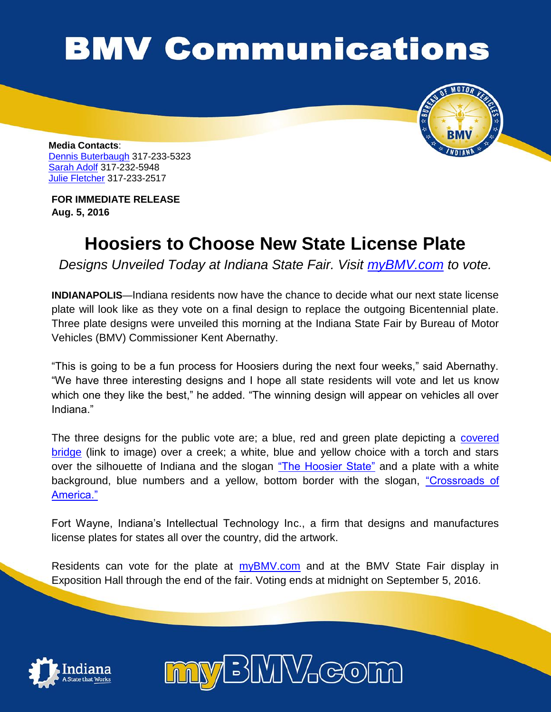## **BMV Communications**



**Media Contacts**: [Dennis Buterbaugh](mailto:dbuterbaugh@bmv.in.gov) 317-233-5323 [Sarah Adolf](mailto:saadolf@bmv.in.gov) 317-232-5948 [Julie Fletcher](mailto:jufletcher@bmv.in.gov) 317-233-2517

**FOR IMMEDIATE RELEASE Aug. 5, 2016**

## **Hoosiers to Choose New State License Plate**

*Designs Unveiled Today at Indiana State Fair. Visit [myBMV.com](http://www.in.gov/bmv/) to vote.*

**INDIANAPOLIS**—Indiana residents now have the chance to decide what our next state license plate will look like as they vote on a final design to replace the outgoing Bicentennial plate. Three plate designs were unveiled this morning at the Indiana State Fair by Bureau of Motor Vehicles (BMV) Commissioner Kent Abernathy.

"This is going to be a fun process for Hoosiers during the next four weeks," said Abernathy. "We have three interesting designs and I hope all state residents will vote and let us know which one they like the best," he added. "The winning design will appear on vehicles all over Indiana."

The three designs for the public vote are; a blue, red and green plate depicting a [covered](http://www.in.gov/bmv/images/Bridge%20plate.jpg)  [bridge](http://www.in.gov/bmv/images/Bridge%20plate.jpg) (link to image) over a creek; a white, blue and yellow choice with a torch and stars over the silhouette of Indiana and the slogan ["The Hoosier State"](http://www.in.gov/bmv/images/State%20H1%20plate.jpg) and a plate with a white background, blue numbers and a yellow, bottom border with the slogan, ["Crossroads of](http://www.in.gov/bmv/images/Ribbon%20plate.jpg)  [America."](http://www.in.gov/bmv/images/Ribbon%20plate.jpg)

Fort Wayne, Indiana's Intellectual Technology Inc., a firm that designs and manufactures license plates for states all over the country, did the artwork.

Residents can vote for the plate at [myBMV.com](http://www.in.gov/bmv/) and at the BMV State Fair display in Exposition Hall through the end of the fair. Voting ends at midnight on September 5, 2016.